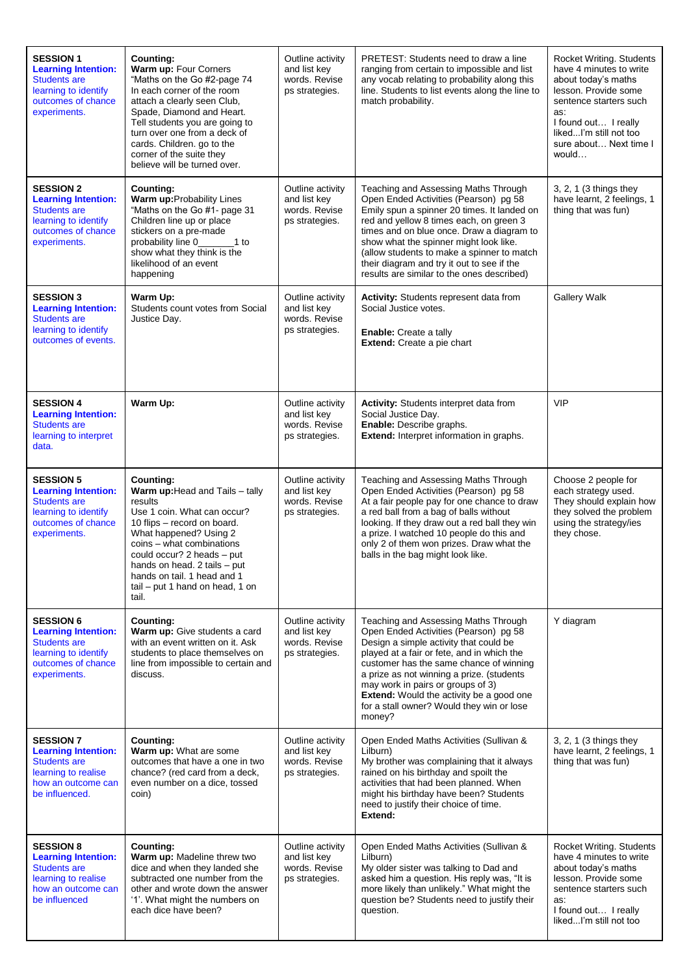| <b>SESSION 1</b><br><b>Learning Intention:</b><br><b>Students are</b><br>learning to identify<br>outcomes of chance<br>experiments.  | Counting:<br>Warm up: Four Corners<br>"Maths on the Go #2-page 74<br>In each corner of the room<br>attach a clearly seen Club,<br>Spade, Diamond and Heart.<br>Tell students you are going to<br>turn over one from a deck of<br>cards. Children. go to the<br>corner of the suite they<br>believe will be turned over.      | Outline activity<br>and list key<br>words. Revise<br>ps strategies. | PRETEST: Students need to draw a line<br>ranging from certain to impossible and list<br>any vocab relating to probability along this<br>line. Students to list events along the line to<br>match probability.                                                                                                                                                                                                | Rocket Writing. Students<br>have 4 minutes to write<br>about today's maths<br>lesson. Provide some<br>sentence starters such<br>as:<br>I found out I really<br>likedI'm still not too<br>sure about Next time I<br>would |
|--------------------------------------------------------------------------------------------------------------------------------------|------------------------------------------------------------------------------------------------------------------------------------------------------------------------------------------------------------------------------------------------------------------------------------------------------------------------------|---------------------------------------------------------------------|--------------------------------------------------------------------------------------------------------------------------------------------------------------------------------------------------------------------------------------------------------------------------------------------------------------------------------------------------------------------------------------------------------------|--------------------------------------------------------------------------------------------------------------------------------------------------------------------------------------------------------------------------|
| <b>SESSION 2</b><br><b>Learning Intention:</b><br><b>Students are</b><br>learning to identify<br>outcomes of chance<br>experiments.  | Counting:<br>Warm up: Probability Lines<br>"Maths on the Go #1- page 31<br>Children line up or place<br>stickers on a pre-made<br>probability line 0_<br>$1$ to<br>show what they think is the<br>likelihood of an event<br>happening                                                                                        | Outline activity<br>and list key<br>words. Revise<br>ps strategies. | Teaching and Assessing Maths Through<br>Open Ended Activities (Pearson) pg 58<br>Emily spun a spinner 20 times. It landed on<br>red and yellow 8 times each, on green 3<br>times and on blue once. Draw a diagram to<br>show what the spinner might look like.<br>(allow students to make a spinner to match<br>their diagram and try it out to see if the<br>results are similar to the ones described)     | 3, 2, 1 (3 things they<br>have learnt, 2 feelings, 1<br>thing that was fun)                                                                                                                                              |
| <b>SESSION 3</b><br><b>Learning Intention:</b><br><b>Students are</b><br>learning to identify<br>outcomes of events.                 | Warm Up:<br>Students count votes from Social<br>Justice Day.                                                                                                                                                                                                                                                                 | Outline activity<br>and list key<br>words. Revise<br>ps strategies. | <b>Activity:</b> Students represent data from<br>Social Justice votes.<br>Enable: Create a tally<br><b>Extend:</b> Create a pie chart                                                                                                                                                                                                                                                                        | <b>Gallery Walk</b>                                                                                                                                                                                                      |
| <b>SESSION 4</b><br><b>Learning Intention:</b><br><b>Students are</b><br>learning to interpret<br>data.                              | Warm Up:                                                                                                                                                                                                                                                                                                                     | Outline activity<br>and list key<br>words. Revise<br>ps strategies. | Activity: Students interpret data from<br>Social Justice Day.<br>Enable: Describe graphs.<br>Extend: Interpret information in graphs.                                                                                                                                                                                                                                                                        | <b>VIP</b>                                                                                                                                                                                                               |
| <b>SESSION 5</b><br><b>Learning Intention:</b><br><b>Students are</b><br>learning to identify<br>outcomes of chance<br>experiments.  | <b>Counting:</b><br>Warm up: Head and Tails - tally<br>results<br>Use 1 coin. What can occur?<br>10 flips - record on board.<br>What happened? Using 2<br>coins - what combinations<br>could occur? 2 heads - put<br>hands on head. 2 tails - put<br>hands on tail. 1 head and 1<br>tail - put 1 hand on head, 1 on<br>tail. | Outline activity<br>and list key<br>words. Revise<br>ps strategies. | Teaching and Assessing Maths Through<br>Open Ended Activities (Pearson) pg 58<br>At a fair people pay for one chance to draw<br>a red ball from a bag of balls without<br>looking. If they draw out a red ball they win<br>a prize. I watched 10 people do this and<br>only 2 of them won prizes. Draw what the<br>balls in the bag might look like.                                                         | Choose 2 people for<br>each strategy used.<br>They should explain how<br>they solved the problem<br>using the strategy/ies<br>they chose.                                                                                |
| <b>SESSION 6</b><br><b>Learning Intention:</b><br><b>Students are</b><br>learning to identify<br>outcomes of chance<br>experiments.  | Counting:<br>Warm up: Give students a card<br>with an event written on it. Ask<br>students to place themselves on<br>line from impossible to certain and<br>discuss.                                                                                                                                                         | Outline activity<br>and list key<br>words. Revise<br>ps strategies. | Teaching and Assessing Maths Through<br>Open Ended Activities (Pearson) pg 58<br>Design a simple activity that could be<br>played at a fair or fete, and in which the<br>customer has the same chance of winning<br>a prize as not winning a prize. (students<br>may work in pairs or groups of 3)<br><b>Extend:</b> Would the activity be a good one<br>for a stall owner? Would they win or lose<br>money? | Y diagram                                                                                                                                                                                                                |
| <b>SESSION 7</b><br><b>Learning Intention:</b><br><b>Students are</b><br>learning to realise<br>how an outcome can<br>be influenced. | Counting:<br>Warm up: What are some<br>outcomes that have a one in two<br>chance? (red card from a deck,<br>even number on a dice, tossed<br>coin)                                                                                                                                                                           | Outline activity<br>and list key<br>words. Revise<br>ps strategies. | Open Ended Maths Activities (Sullivan &<br>Lilburn)<br>My brother was complaining that it always<br>rained on his birthday and spoilt the<br>activities that had been planned. When<br>might his birthday have been? Students<br>need to justify their choice of time.<br>Extend:                                                                                                                            | 3, 2, 1 (3 things they<br>have learnt, 2 feelings, 1<br>thing that was fun)                                                                                                                                              |
| <b>SESSION 8</b><br><b>Learning Intention:</b><br><b>Students are</b><br>learning to realise<br>how an outcome can<br>be influenced  | Counting:<br>Warm up: Madeline threw two<br>dice and when they landed she<br>subtracted one number from the<br>other and wrote down the answer<br>'1'. What might the numbers on<br>each dice have been?                                                                                                                     | Outline activity<br>and list key<br>words, Revise<br>ps strategies. | Open Ended Maths Activities (Sullivan &<br>Lilburn)<br>My older sister was talking to Dad and<br>asked him a question. His reply was, "It is<br>more likely than unlikely." What might the<br>question be? Students need to justify their<br>question.                                                                                                                                                       | Rocket Writing. Students<br>have 4 minutes to write<br>about today's maths<br>lesson. Provide some<br>sentence starters such<br>as:<br>I found out I really<br>likedI'm still not too                                    |